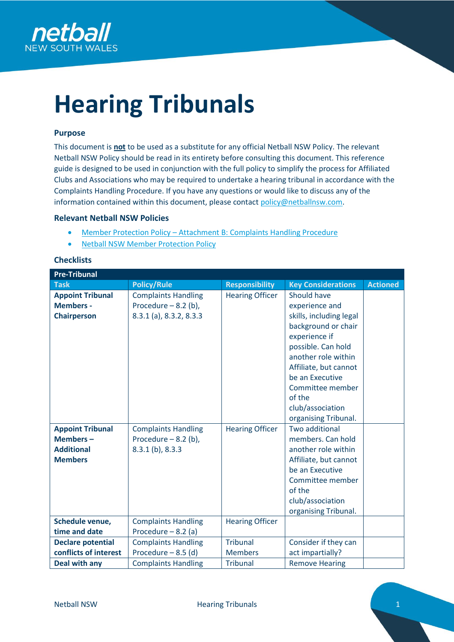

# **Hearing Tribunals**

# **Purpose**

This document is **not** to be used as a substitute for any official Netball NSW Policy. The relevant Netball NSW Policy should be read in its entirety before consulting this document. This reference guide is designed to be used in conjunction with the full policy to simplify the process for Affiliated Clubs and Associations who may be required to undertake a hearing tribunal in accordance with the Complaints Handling Procedure. If you have any questions or would like to discuss any of the information contained within this document, please contact [policy@netballnsw.com.](mailto:policy@netballnsw.com)

# **Relevant Netball NSW Policies**

- Member Protection Policy [Attachment B: Complaints Handling Procedure](https://nsw.netball.com.au/sites/nsw/files/2020-01/14.%20NNSW%20MPP-%20Attachment%20B%20-%20Complaints%20Handling%20Procedures_%202Jan2019.pdf)
- [Netball NSW Member Protection Policy](https://nsw.netball.com.au/sites/nsw/files/2020-08/Netball%20NSW%20Member%20Protection%20Policy%20%28V7%29%20_%20Aug%202020.pdf)

# **Checklists**

| <b>Pre-Tribunal</b>      |                                |                        |                           |                 |  |  |
|--------------------------|--------------------------------|------------------------|---------------------------|-----------------|--|--|
| <b>Task</b>              | <b>Policy/Rule</b>             | <b>Responsibility</b>  | <b>Key Considerations</b> | <b>Actioned</b> |  |  |
| <b>Appoint Tribunal</b>  | <b>Complaints Handling</b>     | <b>Hearing Officer</b> | Should have               |                 |  |  |
| <b>Members -</b>         | Procedure $-8.2$ (b),          |                        | experience and            |                 |  |  |
| <b>Chairperson</b>       | $8.3.1$ (a), $8.3.2$ , $8.3.3$ |                        | skills, including legal   |                 |  |  |
|                          |                                |                        | background or chair       |                 |  |  |
|                          |                                |                        | experience if             |                 |  |  |
|                          |                                |                        | possible. Can hold        |                 |  |  |
|                          |                                |                        | another role within       |                 |  |  |
|                          |                                |                        | Affiliate, but cannot     |                 |  |  |
|                          |                                |                        | be an Executive           |                 |  |  |
|                          |                                |                        | Committee member          |                 |  |  |
|                          |                                |                        | of the                    |                 |  |  |
|                          |                                |                        | club/association          |                 |  |  |
|                          |                                |                        | organising Tribunal.      |                 |  |  |
| <b>Appoint Tribunal</b>  | <b>Complaints Handling</b>     | <b>Hearing Officer</b> | <b>Two additional</b>     |                 |  |  |
| Members $-$              | Procedure $-8.2$ (b),          |                        | members. Can hold         |                 |  |  |
| <b>Additional</b>        | $8.3.1$ (b), $8.3.3$           |                        | another role within       |                 |  |  |
| <b>Members</b>           |                                |                        | Affiliate, but cannot     |                 |  |  |
|                          |                                |                        | be an Executive           |                 |  |  |
|                          |                                |                        | Committee member          |                 |  |  |
|                          |                                |                        | of the                    |                 |  |  |
|                          |                                |                        | club/association          |                 |  |  |
|                          |                                |                        | organising Tribunal.      |                 |  |  |
| Schedule venue,          | <b>Complaints Handling</b>     | <b>Hearing Officer</b> |                           |                 |  |  |
| time and date            | Procedure $-8.2$ (a)           |                        |                           |                 |  |  |
| <b>Declare potential</b> | <b>Complaints Handling</b>     | <b>Tribunal</b>        | Consider if they can      |                 |  |  |
| conflicts of interest    | Procedure $-8.5$ (d)           | <b>Members</b>         | act impartially?          |                 |  |  |
| Deal with any            | <b>Complaints Handling</b>     | <b>Tribunal</b>        | <b>Remove Hearing</b>     |                 |  |  |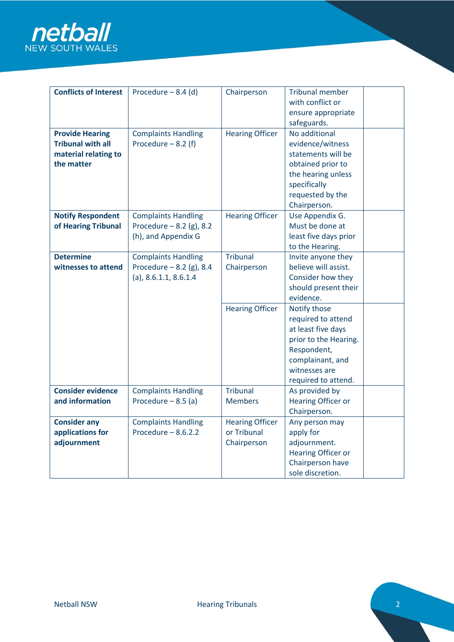

| <b>Conflicts of Interest</b> | Procedure $-8.4$ (d)       | Chairperson            | <b>Tribunal member</b>    |  |
|------------------------------|----------------------------|------------------------|---------------------------|--|
|                              |                            |                        | with conflict or          |  |
|                              |                            |                        | ensure appropriate        |  |
|                              |                            |                        | safeguards.               |  |
| <b>Provide Hearing</b>       | <b>Complaints Handling</b> | <b>Hearing Officer</b> | No additional             |  |
| <b>Tribunal with all</b>     | Procedure $-8.2$ (f)       |                        | evidence/witness          |  |
| material relating to         |                            |                        | statements will be        |  |
| the matter                   |                            |                        | obtained prior to         |  |
|                              |                            |                        | the hearing unless        |  |
|                              |                            |                        | specifically              |  |
|                              |                            |                        | requested by the          |  |
|                              |                            |                        | Chairperson.              |  |
| <b>Notify Respondent</b>     | <b>Complaints Handling</b> | <b>Hearing Officer</b> | Use Appendix G.           |  |
|                              |                            |                        | Must be done at           |  |
| of Hearing Tribunal          | Procedure $- 8.2$ (g), 8.2 |                        |                           |  |
|                              | (h), and Appendix G        |                        | least five days prior     |  |
|                              |                            |                        | to the Hearing.           |  |
| <b>Determine</b>             | <b>Complaints Handling</b> | <b>Tribunal</b>        | Invite anyone they        |  |
| witnesses to attend          | Procedure $- 8.2$ (g), 8.4 | Chairperson            | believe will assist.      |  |
|                              | $(a)$ , 8.6.1.1, 8.6.1.4   |                        | Consider how they         |  |
|                              |                            |                        | should present their      |  |
|                              |                            |                        | evidence.                 |  |
|                              |                            | <b>Hearing Officer</b> | Notify those              |  |
|                              |                            |                        | required to attend        |  |
|                              |                            |                        | at least five days        |  |
|                              |                            |                        | prior to the Hearing.     |  |
|                              |                            |                        | Respondent,               |  |
|                              |                            |                        | complainant, and          |  |
|                              |                            |                        | witnesses are             |  |
|                              |                            |                        | required to attend.       |  |
| <b>Consider evidence</b>     | <b>Complaints Handling</b> | <b>Tribunal</b>        | As provided by            |  |
| and information              | Procedure $-8.5$ (a)       | <b>Members</b>         | <b>Hearing Officer or</b> |  |
|                              |                            |                        | Chairperson.              |  |
| <b>Consider any</b>          | <b>Complaints Handling</b> | <b>Hearing Officer</b> | Any person may            |  |
| applications for             | Procedure $-8.6.2.2$       | or Tribunal            | apply for                 |  |
| adjournment                  |                            | Chairperson            | adjournment.              |  |
|                              |                            |                        | <b>Hearing Officer or</b> |  |
|                              |                            |                        | Chairperson have          |  |
|                              |                            |                        | sole discretion.          |  |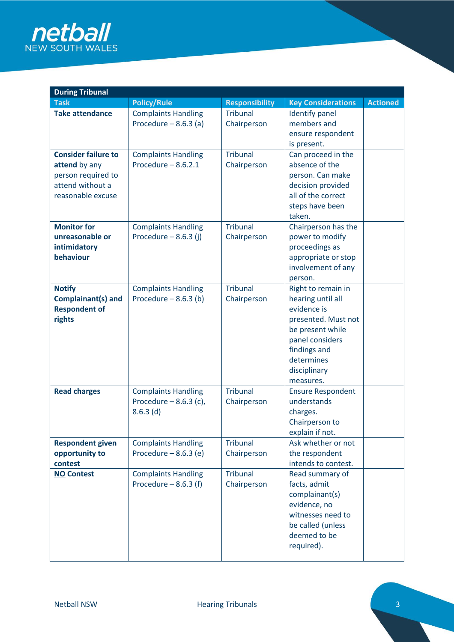

| <b>During Tribunal</b>                            |                                                      |                                |                                      |                 |  |
|---------------------------------------------------|------------------------------------------------------|--------------------------------|--------------------------------------|-----------------|--|
| <b>Task</b>                                       | <b>Policy/Rule</b>                                   | <b>Responsibility</b>          | <b>Key Considerations</b>            | <b>Actioned</b> |  |
| <b>Take attendance</b>                            | <b>Complaints Handling</b><br>Procedure $-8.6.3$ (a) | <b>Tribunal</b><br>Chairperson | <b>Identify panel</b><br>members and |                 |  |
|                                                   |                                                      |                                | ensure respondent                    |                 |  |
|                                                   |                                                      |                                | is present.                          |                 |  |
| <b>Consider failure to</b>                        | <b>Complaints Handling</b>                           | <b>Tribunal</b>                | Can proceed in the                   |                 |  |
| attend by any                                     | Procedure $-8.6.2.1$                                 | Chairperson                    | absence of the                       |                 |  |
| person required to                                |                                                      |                                | person. Can make                     |                 |  |
| attend without a                                  |                                                      |                                | decision provided                    |                 |  |
| reasonable excuse                                 |                                                      |                                | all of the correct                   |                 |  |
|                                                   |                                                      |                                | steps have been                      |                 |  |
|                                                   |                                                      |                                | taken.                               |                 |  |
| <b>Monitor for</b>                                | <b>Complaints Handling</b>                           | <b>Tribunal</b>                | Chairperson has the                  |                 |  |
| unreasonable or                                   | Procedure $-8.6.3$ (j)                               | Chairperson                    | power to modify                      |                 |  |
| intimidatory                                      |                                                      |                                | proceedings as                       |                 |  |
| behaviour                                         |                                                      |                                | appropriate or stop                  |                 |  |
|                                                   |                                                      |                                | involvement of any                   |                 |  |
|                                                   |                                                      | <b>Tribunal</b>                | person.                              |                 |  |
| <b>Notify</b>                                     | <b>Complaints Handling</b><br>Procedure $-8.6.3$ (b) |                                | Right to remain in                   |                 |  |
| <b>Complainant(s) and</b><br><b>Respondent of</b> |                                                      | Chairperson                    | hearing until all<br>evidence is     |                 |  |
| rights                                            |                                                      |                                | presented. Must not                  |                 |  |
|                                                   |                                                      |                                | be present while                     |                 |  |
|                                                   |                                                      |                                | panel considers                      |                 |  |
|                                                   |                                                      |                                | findings and                         |                 |  |
|                                                   |                                                      |                                | determines                           |                 |  |
|                                                   |                                                      |                                | disciplinary                         |                 |  |
|                                                   |                                                      |                                | measures.                            |                 |  |
| <b>Read charges</b>                               | <b>Complaints Handling</b>                           | <b>Tribunal</b>                | <b>Ensure Respondent</b>             |                 |  |
|                                                   | Procedure $-8.6.3$ (c),                              | Chairperson                    | understands                          |                 |  |
|                                                   | $8.6.3$ (d)                                          |                                | charges.                             |                 |  |
|                                                   |                                                      |                                | Chairperson to                       |                 |  |
|                                                   |                                                      |                                | explain if not.                      |                 |  |
| <b>Respondent given</b>                           | <b>Complaints Handling</b>                           | <b>Tribunal</b>                | Ask whether or not                   |                 |  |
| opportunity to                                    | Procedure $-8.6.3$ (e)                               | Chairperson                    | the respondent                       |                 |  |
| contest                                           |                                                      |                                | intends to contest.                  |                 |  |
| <b>NO Contest</b>                                 | <b>Complaints Handling</b>                           | <b>Tribunal</b>                | Read summary of                      |                 |  |
|                                                   | Procedure $-8.6.3$ (f)                               | Chairperson                    | facts, admit                         |                 |  |
|                                                   |                                                      |                                | complainant(s)<br>evidence, no       |                 |  |
|                                                   |                                                      |                                | witnesses need to                    |                 |  |
|                                                   |                                                      |                                | be called (unless                    |                 |  |
|                                                   |                                                      |                                | deemed to be                         |                 |  |
|                                                   |                                                      |                                | required).                           |                 |  |
|                                                   |                                                      |                                |                                      |                 |  |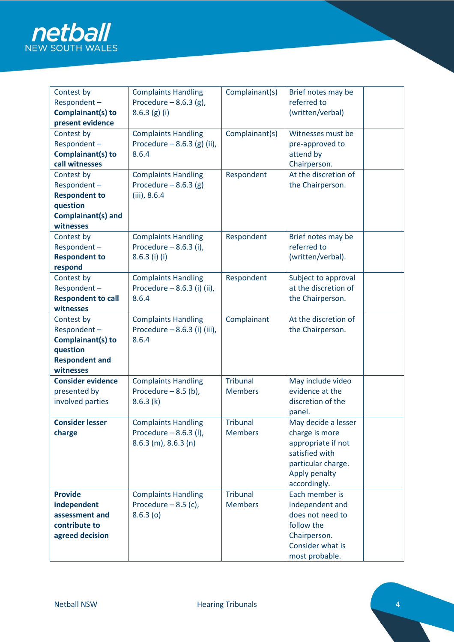

| Contest by                               | <b>Complaints Handling</b>            | Complainant(s)  | Brief notes may be                          |  |
|------------------------------------------|---------------------------------------|-----------------|---------------------------------------------|--|
| Respondent-                              | Procedure $-8.6.3$ (g),               |                 | referred to                                 |  |
| Complainant(s) to                        | 8.6.3(g)(i)                           |                 | (written/verbal)                            |  |
| present evidence                         |                                       |                 |                                             |  |
| Contest by                               | <b>Complaints Handling</b>            | Complainant(s)  | Witnesses must be                           |  |
| Respondent-                              | Procedure $-8.6.3$ (g) (ii),          |                 | pre-approved to                             |  |
| Complainant(s) to                        | 8.6.4                                 |                 | attend by                                   |  |
| call witnesses                           |                                       |                 | Chairperson.                                |  |
| Contest by                               | <b>Complaints Handling</b>            | Respondent      | At the discretion of                        |  |
| Respondent-                              | Procedure $-8.6.3$ (g)                |                 | the Chairperson.                            |  |
| <b>Respondent to</b>                     | $(iii)$ , 8.6.4                       |                 |                                             |  |
| question                                 |                                       |                 |                                             |  |
| Complainant(s) and                       |                                       |                 |                                             |  |
| witnesses                                |                                       |                 |                                             |  |
| Contest by                               | <b>Complaints Handling</b>            | Respondent      | Brief notes may be                          |  |
| Respondent-                              | Procedure $-8.6.3$ (i),               |                 | referred to                                 |  |
| <b>Respondent to</b>                     | $8.6.3$ (i) (i)                       |                 | (written/verbal).                           |  |
| respond                                  |                                       |                 |                                             |  |
| Contest by                               | <b>Complaints Handling</b>            | Respondent      | Subject to approval<br>at the discretion of |  |
| Respondent-<br><b>Respondent to call</b> | Procedure - 8.6.3 (i) (ii),           |                 |                                             |  |
| witnesses                                | 8.6.4                                 |                 | the Chairperson.                            |  |
|                                          |                                       |                 | At the discretion of                        |  |
| Contest by                               | <b>Complaints Handling</b>            | Complainant     |                                             |  |
| Respondent-                              | Procedure - 8.6.3 (i) (iii),<br>8.6.4 |                 | the Chairperson.                            |  |
| Complainant(s) to                        |                                       |                 |                                             |  |
| question<br><b>Respondent and</b>        |                                       |                 |                                             |  |
| witnesses                                |                                       |                 |                                             |  |
| <b>Consider evidence</b>                 | <b>Complaints Handling</b>            | <b>Tribunal</b> | May include video                           |  |
| presented by                             | Procedure $-8.5$ (b),                 | <b>Members</b>  | evidence at the                             |  |
| involved parties                         | 8.6.3(k)                              |                 | discretion of the                           |  |
|                                          |                                       |                 | panel.                                      |  |
| <b>Consider lesser</b>                   | <b>Complaints Handling</b>            | <b>Tribunal</b> | May decide a lesser                         |  |
| charge                                   | Procedure $-8.6.3$ (l),               | <b>Members</b>  | charge is more                              |  |
|                                          | $8.6.3$ (m), $8.6.3$ (n)              |                 | appropriate if not                          |  |
|                                          |                                       |                 | satisfied with                              |  |
|                                          |                                       |                 | particular charge.                          |  |
|                                          |                                       |                 | Apply penalty                               |  |
|                                          |                                       |                 | accordingly.                                |  |
| <b>Provide</b>                           | <b>Complaints Handling</b>            | <b>Tribunal</b> | Each member is                              |  |
| independent                              | Procedure $-8.5$ (c),                 | <b>Members</b>  | independent and                             |  |
| assessment and                           | 8.6.3(0)                              |                 | does not need to                            |  |
| contribute to                            |                                       |                 | follow the                                  |  |
|                                          |                                       |                 |                                             |  |
|                                          |                                       |                 |                                             |  |
|                                          |                                       |                 | most probable.                              |  |
| agreed decision                          |                                       |                 | Chairperson.<br>Consider what is            |  |
|                                          |                                       |                 |                                             |  |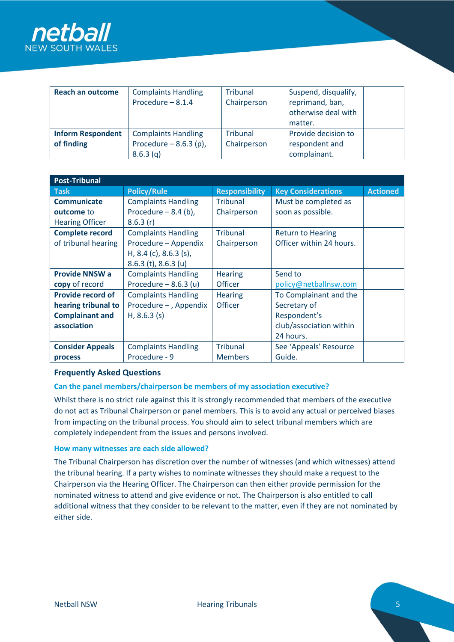

| <b>Reach an outcome</b>                | <b>Complaints Handling</b><br>Procedure $-8.1.4$      | Tribunal<br>Chairperson | Suspend, disqualify,<br>reprimand, ban,<br>otherwise deal with<br>matter. |  |
|----------------------------------------|-------------------------------------------------------|-------------------------|---------------------------------------------------------------------------|--|
| <b>Inform Respondent</b><br>of finding | <b>Complaints Handling</b><br>Procedure $-8.6.3$ (p), | Tribunal<br>Chairperson | Provide decision to<br>respondent and                                     |  |
|                                        | 8.6.3(q)                                              |                         | complainant.                                                              |  |

| <b>Post-Tribunal</b>     |                            |                       |                           |                 |  |
|--------------------------|----------------------------|-----------------------|---------------------------|-----------------|--|
| <b>Task</b>              | <b>Policy/Rule</b>         | <b>Responsibility</b> | <b>Key Considerations</b> | <b>Actioned</b> |  |
| <b>Communicate</b>       | <b>Complaints Handling</b> | Tribunal              | Must be completed as      |                 |  |
| outcome to               | Procedure $-8.4$ (b),      | Chairperson           | soon as possible.         |                 |  |
| <b>Hearing Officer</b>   | 8.6.3(r)                   |                       |                           |                 |  |
| <b>Complete record</b>   | <b>Complaints Handling</b> | Tribunal              | <b>Return to Hearing</b>  |                 |  |
| of tribunal hearing      | Procedure - Appendix       | Chairperson           | Officer within 24 hours.  |                 |  |
|                          | H, 8.4 (c), 8.6.3 (s),     |                       |                           |                 |  |
|                          | $8.6.3$ (t), $8.6.3$ (u)   |                       |                           |                 |  |
| <b>Provide NNSW a</b>    | <b>Complaints Handling</b> | <b>Hearing</b>        | Send to                   |                 |  |
| copy of record           | Procedure $-8.6.3$ (u)     | <b>Officer</b>        | policy@netballnsw.com     |                 |  |
| <b>Provide record of</b> | <b>Complaints Handling</b> | <b>Hearing</b>        | To Complainant and the    |                 |  |
| hearing tribunal to      | Procedure - , Appendix     | Officer               | Secretary of              |                 |  |
| <b>Complainant and</b>   | $H, 8.6.3$ (s)             |                       | Respondent's              |                 |  |
| association              |                            |                       | club/association within   |                 |  |
|                          |                            |                       | 24 hours.                 |                 |  |
| <b>Consider Appeals</b>  | <b>Complaints Handling</b> | <b>Tribunal</b>       | See 'Appeals' Resource    |                 |  |
| process                  | Procedure - 9              | <b>Members</b>        | Guide.                    |                 |  |

# **Frequently Asked Questions**

# **Can the panel members/chairperson be members of my association executive?**

Whilst there is no strict rule against this it is strongly recommended that members of the executive do not act as Tribunal Chairperson or panel members. This is to avoid any actual or perceived biases from impacting on the tribunal process. You should aim to select tribunal members which are completely independent from the issues and persons involved.

#### **How many witnesses are each side allowed?**

The Tribunal Chairperson has discretion over the number of witnesses (and which witnesses) attend the tribunal hearing. If a party wishes to nominate witnesses they should make a request to the Chairperson via the Hearing Officer. The Chairperson can then either provide permission for the nominated witness to attend and give evidence or not. The Chairperson is also entitled to call additional witness that they consider to be relevant to the matter, even if they are not nominated by either side.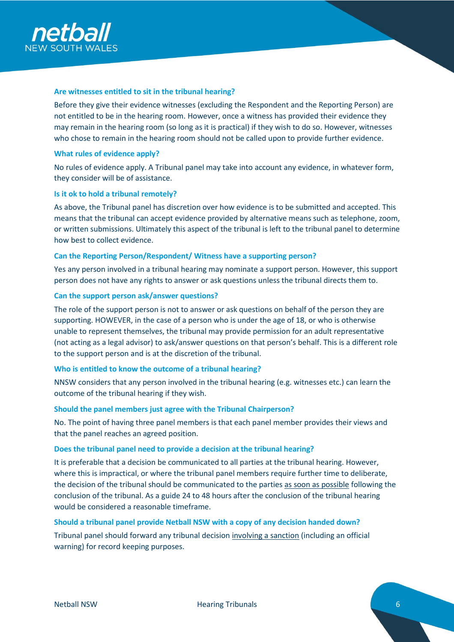

### **Are witnesses entitled to sit in the tribunal hearing?**

Before they give their evidence witnesses (excluding the Respondent and the Reporting Person) are not entitled to be in the hearing room. However, once a witness has provided their evidence they may remain in the hearing room (so long as it is practical) if they wish to do so. However, witnesses who chose to remain in the hearing room should not be called upon to provide further evidence.

#### **What rules of evidence apply?**

No rules of evidence apply. A Tribunal panel may take into account any evidence, in whatever form, they consider will be of assistance.

#### **Is it ok to hold a tribunal remotely?**

As above, the Tribunal panel has discretion over how evidence is to be submitted and accepted. This means that the tribunal can accept evidence provided by alternative means such as telephone, zoom, or written submissions. Ultimately this aspect of the tribunal is left to the tribunal panel to determine how best to collect evidence.

#### **Can the Reporting Person/Respondent/ Witness have a supporting person?**

Yes any person involved in a tribunal hearing may nominate a support person. However, this support person does not have any rights to answer or ask questions unless the tribunal directs them to.

#### **Can the support person ask/answer questions?**

The role of the support person is not to answer or ask questions on behalf of the person they are supporting. HOWEVER, in the case of a person who is under the age of 18, or who is otherwise unable to represent themselves, the tribunal may provide permission for an adult representative (not acting as a legal advisor) to ask/answer questions on that person's behalf. This is a different role to the support person and is at the discretion of the tribunal.

# **Who is entitled to know the outcome of a tribunal hearing?**

NNSW considers that any person involved in the tribunal hearing (e.g. witnesses etc.) can learn the outcome of the tribunal hearing if they wish.

#### **Should the panel members just agree with the Tribunal Chairperson?**

No. The point of having three panel members is that each panel member provides their views and that the panel reaches an agreed position.

#### **Does the tribunal panel need to provide a decision at the tribunal hearing?**

It is preferable that a decision be communicated to all parties at the tribunal hearing. However, where this is impractical, or where the tribunal panel members require further time to deliberate, the decision of the tribunal should be communicated to the parties as soon as possible following the conclusion of the tribunal. As a guide 24 to 48 hours after the conclusion of the tribunal hearing would be considered a reasonable timeframe.

# **Should a tribunal panel provide Netball NSW with a copy of any decision handed down?**

Tribunal panel should forward any tribunal decision *involving a sanction* (including an official warning) for record keeping purposes.